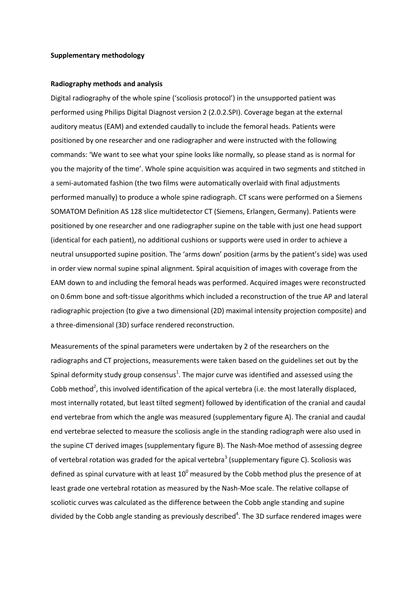#### **Supplementary methodology**

#### **Radiography methods and analysis**

Digital radiography of the whole spine ('scoliosis protocol') in the unsupported patient was performed using Philips Digital Diagnost version 2 (2.0.2.SPI). Coverage began at the external auditory meatus (EAM) and extended caudally to include the femoral heads. Patients were positioned by one researcher and one radiographer and were instructed with the following commands: 'We want to see what your spine looks like normally, so please stand as is normal for you the majority of the time'. Whole spine acquisition was acquired in two segments and stitched in a semi-automated fashion (the two films were automatically overlaid with final adjustments performed manually) to produce a whole spine radiograph. CT scans were performed on a Siemens SOMATOM Definition AS 128 slice multidetector CT (Siemens, Erlangen, Germany). Patients were positioned by one researcher and one radiographer supine on the table with just one head support (identical for each patient), no additional cushions or supports were used in order to achieve a neutral unsupported supine position. The 'arms down' position (arms by the patient's side) was used in order view normal supine spinal alignment. Spiral acquisition of images with coverage from the EAM down to and including the femoral heads was performed. Acquired images were reconstructed on 0.6mm bone and soft-tissue algorithms which included a reconstruction of the true AP and lateral radiographic projection (to give a two dimensional (2D) maximal intensity projection composite) and a three-dimensional (3D) surface rendered reconstruction.

Measurements of the spinal parameters were undertaken by 2 of the researchers on the radiographs and CT projections, measurements were taken based on the guidelines set out by the Spinal deformity [s](#page-2-0)tudy group consensus<sup>1</sup>. The major curve was identified and assessed using the Cobb method<sup>2</sup>[,](#page-2-1) this involved identification of the apical vertebra (i.e. the most laterally displaced, most internally rotated, but least tilted segment) followed by identification of the cranial and caudal end vertebrae from which the angle was measured (supplementary figure A). The cranial and caudal end vertebrae selected to measure the scoliosis angle in the standing radiograph were also used in the supine CT derived images (supplementary figure B). The Nash-Moe method of assessing degree of vertebr[a](#page-2-2)l rotation was graded for the apical vertebra<sup>3</sup> (supplementary figure C). Scoliosis was defined as spinal curvature with at least  $10^{\circ}$  measured by the Cobb method plus the presence of at least grade one vertebral rotation as measured by the Nash-Moe scale. The relative collapse of scoliotic curves was calculated as the difference between the Cobb angle standing and supine divided by the Cobb angle standing as previously describe[d](#page-2-3) 4 . The 3D surface rendered images were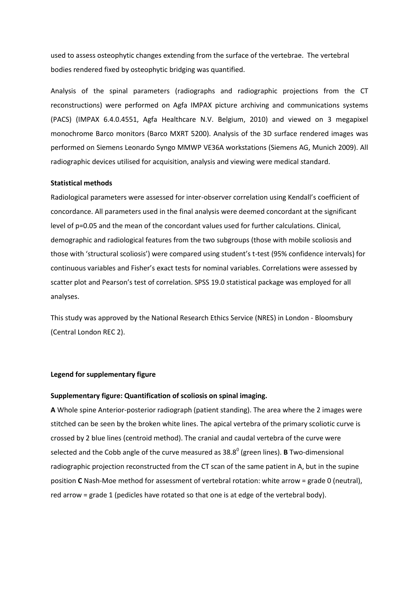used to assess osteophytic changes extending from the surface of the vertebrae. The vertebral bodies rendered fixed by osteophytic bridging was quantified.

Analysis of the spinal parameters (radiographs and radiographic projections from the CT reconstructions) were performed on Agfa IMPAX picture archiving and communications systems (PACS) (IMPAX 6.4.0.4551, Agfa Healthcare N.V. Belgium, 2010) and viewed on 3 megapixel monochrome Barco monitors (Barco MXRT 5200). Analysis of the 3D surface rendered images was performed on Siemens Leonardo Syngo MMWP VE36A workstations (Siemens AG, Munich 2009). All radiographic devices utilised for acquisition, analysis and viewing were medical standard.

## **Statistical methods**

Radiological parameters were assessed for inter-observer correlation using Kendall's coefficient of concordance. All parameters used in the final analysis were deemed concordant at the significant level of p=0.05 and the mean of the concordant values used for further calculations. Clinical, demographic and radiological features from the two subgroups (those with mobile scoliosis and those with 'structural scoliosis') were compared using student's t-test (95% confidence intervals) for continuous variables and Fisher's exact tests for nominal variables. Correlations were assessed by scatter plot and Pearson's test of correlation. SPSS 19.0 statistical package was employed for all analyses.

This study was approved by the National Research Ethics Service (NRES) in London - Bloomsbury (Central London REC 2).

### **Legend for supplementary figure**

## **Supplementary figure: Quantification of scoliosis on spinal imaging.**

**A** Whole spine Anterior-posterior radiograph (patient standing). The area where the 2 images were stitched can be seen by the broken white lines. The apical vertebra of the primary scoliotic curve is crossed by 2 blue lines (centroid method). The cranial and caudal vertebra of the curve were selected and the Cobb angle of the curve measured as 38.8<sup>0</sup> (green lines). **B** Two-dimensional radiographic projection reconstructed from the CT scan of the same patient in A, but in the supine position **C** Nash-Moe method for assessment of vertebral rotation: white arrow = grade 0 (neutral), red arrow = grade 1 (pedicles have rotated so that one is at edge of the vertebral body).